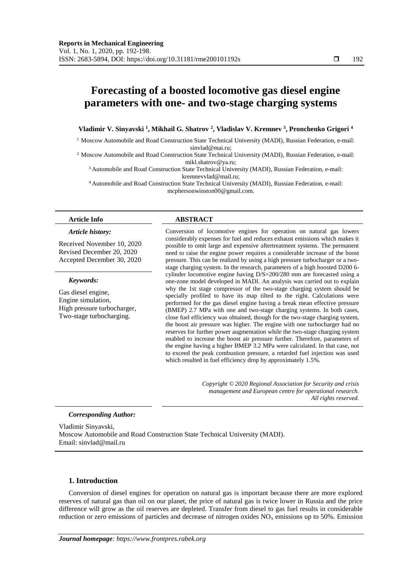# **Forecasting of a boosted locomotive gas diesel engine parameters with one- and two-stage charging systems**

# **Vladimir V. Sinyavski <sup>1</sup> , Mikhail G. Shatrov <sup>2</sup> , Vladislav V. Kremnev <sup>3</sup> , Pronchenko Grigori <sup>4</sup>**

<sup>1</sup> Moscow Automobile and Road Construction State Technical University (MADI), Russian Federation, e-mail: sinvlad@mai.ru;

<sup>2</sup> Moscow Automobile and Road Construction State Technical University (MADI), Russian Federation, e-mail: mikl.shatrov@ya.ru;

<sup>3</sup> Automobile and Road Construction State Technical University (MADI), Russian Federation, e-mail: kremnevvlad@mail.ru;

<sup>4</sup> Automobile and Road Construction State Technical University (MADI), Russian Federation, e-mail: mcphersonwinston00@gmail.com.

#### *Article history:*

Received November 10, 2020 Revised December 20, 2020 Accepted December 30, 2020

#### *Keywords:*

Gas diesel engine, Engine simulation, High pressure turbocharger, Two-stage turbocharging.

### **Article Info ABSTRACT**

Conversion of locomotive engines for operation on natural gas lowers considerably expenses for fuel and reduces exhaust emissions which makes it possible to omit large and expensive aftertreatment systems. The permanent need to raise the engine power requires a considerable increase of the boost pressure. This can be realized by using a high pressure turbocharger or a twostage charging system. In the research, parameters of a high boosted D200 6 cylinder locomotive engine having D/S=200/280 mm are forecasted using a one-zone model developed in MADI. An analysis was carried out to explain why the 1st stage compressor of the two-stage charging system should be specially profiled to have its map tilted to the right. Calculations were performed for the gas diesel engine having a break mean effective pressure (BMEP) 2.7 MPa with one and two-stage charging systems. In both cases, close fuel efficiency was obtained, though for the two-stage charging system, the boost air pressure was higher. The engine with one turbocharger had no reserves for further power augmentation while the two-stage charging system enabled to increase the boost air pressure further. Therefore, parameters of the engine having a higher BMEP 3.2 MPa were calculated. In that case, not to exceed the peak combustion pressure, a retarded fuel injection was used which resulted in fuel efficiency drop by approximately 1.5%.

> *Copyright © 2020 Regional Association for Security and crisis management and European centre for operational research. All rights reserved.*

#### *Corresponding Author:*

Vladimir Sinyavski, Moscow Automobile and Road Construction State Technical University (MADI). Email: sinvlad@mail.ru

#### **1. Introduction**

Conversion of diesel engines for operation on natural gas is important because there are more explored reserves of natural gas than oil on our planet, the price of natural gas is twice lower in Russia and the price difference will grow as the oil reserves are depleted. Transfer from diesel to gas fuel results in considerable reduction or zero emissions of particles and decrease of nitrogen oxides  $NO<sub>x</sub>$  emissions up to 50%. Emission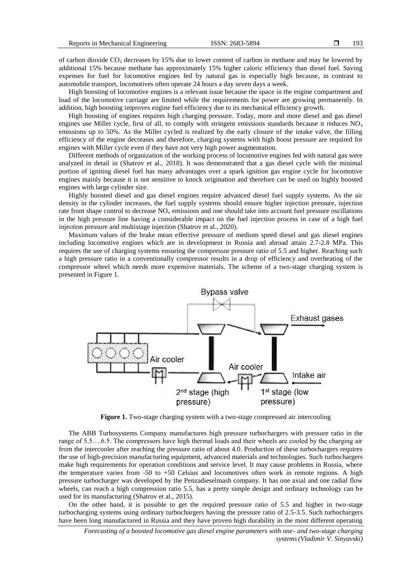of carbon dioxide CO<sup>2</sup> decreases by 15% due to lower content of carbon in methane and may be lowered by additional 15% because methane has approximately 15% higher caloric efficiency than diesel fuel. Saving expenses for fuel for locomotive engines fed by natural gas is especially high because, in contrast to automobile transport, locomotives often operate 24 hours a day seven days a week.

High boosting of locomotive engines is a relevant issue because the space in the engine compartment and load of the locomotive carriage are limited while the requirements for power are growing permanently. In addition, high boosting improves engine fuel efficiency due to its mechanical efficiency growth.

High boosting of engines requires high charging pressure. Today, more and more diesel and gas diesel engines use Miller cycle, first of all, to comply with stringent emissions standards because it reduces  $NO<sub>x</sub>$ emissions up to 50%. As the Miller cycled is realized by the early closure of the intake valve, the filling efficiency of the engine decreases and therefore, charging systems with high boost pressure are required for engines with Miller cycle even if they have not very high power augmentation.

Different methods of organization of the working process of locomotive engines fed with natural gas were analyzed in detail in (Shatrov et al., 2018). It was demonstrated that a gas diesel cycle with the minimal portion of igniting diesel fuel has many advantages over a spark ignition gas engine cycle for locomotive engines mainly because it is not sensitive to knock origination and therefore can be used on highly boosted engines with large cylinder size.

Highly boosted diesel and gas diesel engines require advanced diesel fuel supply systems. As the air density in the cylinder increases, the fuel supply systems should ensure higher injection pressure, injection rate front shape control to decrease  $NO<sub>x</sub>$  emissions and one should take into account fuel pressure oscillations in the high pressure line having a considerable impact on the fuel injection process in case of a high fuel injection pressure and multistage injection (Shatrov et al., 2020).

Maximum values of the brake mean effective pressure of medium speed diesel and gas diesel engines including locomotive engines which are in development in Russia and abroad attain 2.7-2.8 MPa. This requires the use of charging systems ensuring the compressor pressure ratio of 5.5 and higher. Reaching such a high pressure ratio in a conventionally compressor results in a drop of efficiency and overheating of the compressor wheel which needs more expensive materials. The scheme of a two-stage charging system is presented in Figure 1.



Figure 1. Two-stage charging system with a two-stage compressed air intercooling

The ABB Turbosystems Company manufactures high pressure turbochargers with pressure ratio in the range of 5.5….6.5. The compressors have high thermal loads and their wheels are cooled by the charging air from the intercooler after reaching the pressure ratio of about 4.0. Production of these turbochargers requires the use of high-precision manufacturing equipment, advanced materials and technologies. Such turbochargers make high requirements for operation conditions and service level. It may cause problems in Russia, where the temperature varies from -50 to +50 Celsius and locomotives often work in remote regions. A high pressure turbocharger was developed by the Penzadieselmash company. It has one axial and one radial flow wheels, can reach a high compression ratio 5.5, has a pretty simple design and ordinary technology can be used for its manufacturing (Shatrov et al., 2015).

On the other hand, it is possible to get the required pressure ratio of 5.5 and higher in two-stage turbocharging systems using ordinary turbochargers having the pressure ratio of 2.5-3.5. Such turbochargers have been long manufactured in Russia and they have proven high durability in the most different operating

*Forecasting of a boosted locomotive gas diesel engine parameters with one- and two-stage charging systems(Vladimir V. Sinyavski)*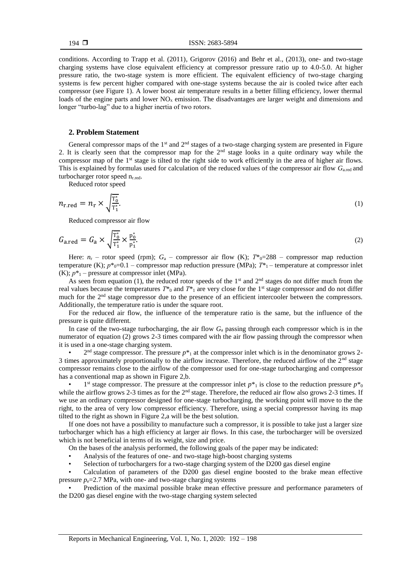conditions. According to Trapp et al. (2011), Grigorov (2016) and Behr et al., (2013), one- and two-stage charging systems have close equivalent efficiency at compressor pressure ratio up to 4.0-5.0. At higher pressure ratio, the two-stage system is more efficient. The equivalent efficiency of two-stage charging systems is few percent higher compared with one-stage systems because the air is cooled twice after each compressor (see Figure 1). A lower boost air temperature results in a better filling efficiency, lower thermal loads of the engine parts and lower  $NO<sub>x</sub>$  emission. The disadvantages are larger weight and dimensions and longer "turbo-lag" due to a higher inertia of two rotors.

# **2. Problem Statement**

General compressor maps of the  $1<sup>st</sup>$  and  $2<sup>nd</sup>$  stages of a two-stage charging system are presented in Figure 2. It is clearly seen that the compressor map for the 2nd stage looks in a quite ordinary way while the compressor map of the  $1<sup>st</sup>$  stage is tilted to the right side to work efficiently in the area of higher air flows. This is explained by formulas used for calculation of the reduced values of the compressor air flow *G*a.red and turbocharger rotor speed  $n_{r.read}$ .

Reduced rotor speed

$$
n_{\rm r, red} = n_{\rm r} \times \sqrt{\frac{T_0^*}{T_1^*}}.\tag{1}
$$

Reduced compressor air flow

$$
G_{\text{a.red}} = G_{\text{a}} \times \sqrt{\frac{\Gamma_0^*}{\Gamma_1^*}} \times \frac{p_0^*}{p_1^*}.
$$
 (2)

Here:  $n_r$  – rotor speed (rpm);  $G_a$  – compressor air flow (K);  $T^*_{0}=288$  – compressor map reduction temperature (K);  $p^*_{0}=0.1$  – compressor map reduction pressure (MPa);  $T^*_{1}$  – temperature at compressor inlet  $(K); p^*$ <sup>1</sup> – pressure at compressor inlet (MPa).

As seen from equation (1), the reduced rotor speeds of the 1<sup>st</sup> and 2<sup>nd</sup> stages do not differ much from the real values because the temperatures  $T^*$ <sup>0</sup> and  $T^*$ <sup>1</sup> are very close for the 1<sup>st</sup> stage compressor and do not differ much for the 2<sup>nd</sup> stage compressor due to the presence of an efficient intercooler between the compressors. Additionally, the temperature ratio is under the square root.

For the reduced air flow, the influence of the temperature ratio is the same, but the influence of the pressure is quite different.

In case of the two-stage turbocharging, the air flow *G*<sup>a</sup> passing through each compressor which is in the numerator of equation (2) grows 2-3 times compared with the air flow passing through the compressor when it is used in a one-stage charging system.

 $\bullet$  2<sup>nd</sup> stage compressor. The pressure  $p^*$  at the compressor inlet which is in the denominator grows 2-3 times approximately proportionally to the airflow increase. Therefore, the reduced airflow of the 2nd stage compressor remains close to the airflow of the compressor used for one-stage turbocharging and compressor has a conventional map as shown in Figure 2,b.

• 1<sup>st</sup> stage compressor. The pressure at the compressor inlet  $p^*$ <sub>1</sub> is close to the reduction pressure  $p^*$ <sub>0</sub> while the airflow grows 2-3 times as for the 2<sup>nd</sup> stage. Therefore, the reduced air flow also grows 2-3 times. If we use an ordinary compressor designed for one-stage turbocharging, the working point will move to the the right, to the area of very low compressor efficiency. Therefore, using a special compressor having its map tilted to the right as shown in Figure 2,a will be the best solution.

If one does not have a possibility to manufacture such a compressor, it is possible to take just a larger size turbocharger which has a high efficiency at larger air flows. In this case, the turbocharger will be oversized which is not beneficial in terms of its weight, size and price.

On the bases of the analysis performed, the following goals of the paper may be indicated:

- Analysis of the features of one- and two-stage high-boost charging systems
- Selection of turbochargers for a two-stage charging system of the D200 gas diesel engine

• Calculation of parameters of the D200 gas diesel engine boosted to the brake mean effective pressure  $p_e$ =2.7 MPa, with one- and two-stage charging systems

• Prediction of the maximal possible brake mean effective pressure and performance parameters of the D200 gas diesel engine with the two-stage charging system selected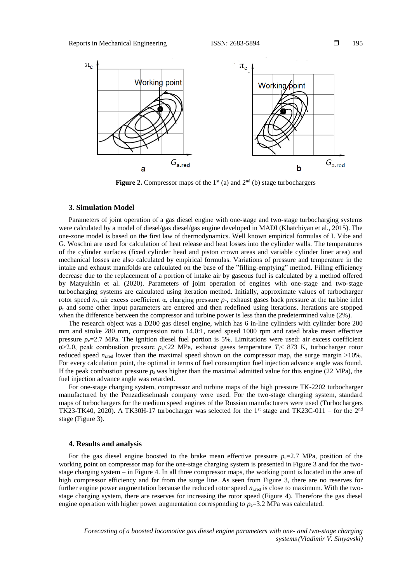

**Figure 2.** Compressor maps of the  $1<sup>st</sup>$  (a) and  $2<sup>nd</sup>$  (b) stage turbochargers

# **3. Simulation Model**

Parameters of joint operation of a gas diesel engine with one-stage and two-stage turbocharging systems were calculated by a model of diesel/gas diesel/gas engine developed in MADI (Khatchiyan et al., 2015). The one-zone model is based on the first law of thermodynamics. Well known empirical formulas of I. Vibe and G. Woschni are used for calculation of heat release and heat losses into the cylinder walls. The temperatures of the cylinder surfaces (fixed cylinder head and piston crown areas and variable cylinder liner area) and mechanical losses are also calculated by empirical formulas. Variations of pressure and temperature in the intake and exhaust manifolds are calculated on the base of the "filling-emptying" method. Filling efficiency decrease due to the replacement of a portion of intake air by gaseous fuel is calculated by a method offered by Matyukhin et al. (2020). Parameters of joint operation of engines with one-stage and two-stage turbocharging systems are calculated using iteration method. Initially, approximate values of turbocharger rotor speed  $n_r$ , air excess coefficient α, charging pressure  $p_c$ , exhaust gases back pressure at the turbine inlet  $p_t$  and some other input parameters are entered and then redefined using iterations. Iterations are stopped when the difference between the compressor and turbine power is less than the predetermined value (2%).

The research object was a D200 gas diesel engine, which has 6 in-line cylinders with cylinder bore 200 mm and stroke 280 mm, compression ratio 14.0:1, rated speed 1000 rpm and rated brake mean effective pressure  $p_e$ =2.7 MPa. The ignition diesel fuel portion is 5%. Limitations were used: air excess coefficient α>2.0, peak combustion pressure *p*z<22 MPa, exhaust gases temperature *T*t< 873 K, turbocharger rotor reduced speed  $n_{\text{r,red}}$  lower than the maximal speed shown on the compressor map, the surge margin  $>10\%$ . For every calculation point, the optimal in terms of fuel consumption fuel injection advance angle was found. If the peak combustion pressure  $p<sub>z</sub>$  was higher than the maximal admitted value for this engine (22 MPa), the fuel injection advance angle was retarded.

For one-stage charging system, compressor and turbine maps of the high pressure TK-2202 turbocharger manufactured by the Penzadieselmash company were used. For the two-stage charging system, standard maps of turbochargers for the medium speed engines of the Russian manufacturers were used (Turbochargers TK23-TK40, 2020). A TK30H-17 turbocharger was selected for the 1<sup>st</sup> stage and TK23C-011 – for the  $2<sup>nd</sup>$ stage (Figure 3).

## **4. Results and analysis**

For the gas diesel engine boosted to the brake mean effective pressure  $p_e=2.7$  MPa, position of the working point on compressor map for the one-stage charging system is presented in Figure 3 and for the twostage charging system – in Figure 4. In all three compressor maps, the working point is located in the area of high compressor efficiency and far from the surge line. As seen from Figure 3, there are no reserves for further engine power augmentation because the reduced rotor speed *n*r.red is close to maximum. With the twostage charging system, there are reserves for increasing the rotor speed (Figure 4). Therefore the gas diesel engine operation with higher power augmentation corresponding to  $p_e=3.2$  MPa was calculated.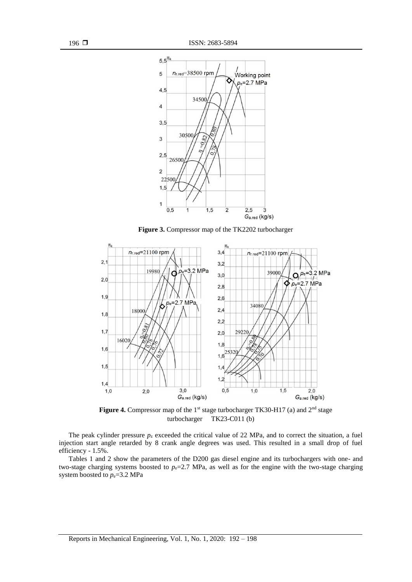

Figure 3. Compressor map of the TK2202 turbocharger



Figure 4. Compressor map of the 1<sup>st</sup> stage turbocharger TK30-H17 (a) and 2<sup>nd</sup> stage turbocharger TK23-C011 (b)

The peak cylinder pressure  $p<sub>z</sub>$  exceeded the critical value of 22 MPa, and to correct the situation, a fuel injection start angle retarded by 8 crank angle degrees was used. This resulted in a small drop of fuel efficiency - 1.5%.

Tables 1 and 2 show the parameters of the D200 gas diesel engine and its turbochargers with one- and two-stage charging systems boosted to  $p_e=2.7$  MPa, as well as for the engine with the two-stage charging system boosted to  $p_e$ =3.2 MPa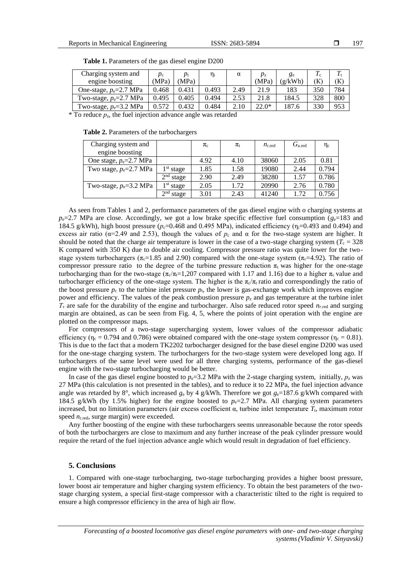| v |
|---|
|---|

| Charging system and        | $p_c$ |       | ηi    | α    | $v_{\rm z}$ | ge      |     |     |
|----------------------------|-------|-------|-------|------|-------------|---------|-----|-----|
| engine boosting            | MPa)  | MPa)  |       |      | (MPa)       | (g/kWh) | ίK  | Ƙ   |
| One-stage, $p_e=2.7$ MPa   | 0.468 | 0.431 | 0.493 | 2.49 | 21.9        | 183     | 350 | 784 |
| Two-stage, $p_e=2.7$ MPa   | 0.495 | 0.405 | 0.494 | 2.53 | 21.8        | 184.5   | 328 | 800 |
| Two-stage, $p_e = 3.2$ MPa | 0.572 | 0.432 | 0.484 | 2.10 | 22.0*       | 187.6   | 330 | 953 |

Table 1. Parameters of the gas diesel engine D200

 $*$  To reduce  $p_z$ , the fuel injection advance angle was retarded

#### **Table 2.** Parameters of the turbochargers

| Charging system and        |                       | $\pi_{\rm c}$ | $\pi_{\rm t}$ | $n_{r,red}$ | $G_{\rm a,red}$ | $\eta_c$ |
|----------------------------|-----------------------|---------------|---------------|-------------|-----------------|----------|
| engine boosting            |                       |               |               |             |                 |          |
| One stage, $p_e=2.7$ MPa   |                       | 4.92          | 4.10          | 38060       | 2.05            | 0.81     |
| Two stage, $p_e=2.7$ MPa   | $1st$ stage           | 1.85          | 1.58          | 19080       | 2.44            | 0.794    |
|                            | 2 <sup>nd</sup> stage | 2.90          | 2.49          | 38280       | 1.57            | 0.786    |
| Two-stage, $p_e = 3.2$ MPa | 1 <sup>st</sup> stage | 2.05          | 1.72          | 20990       | 2.76            | 0.780    |
|                            | 2 <sup>nd</sup> stage | 3.01          | 2.43          | 41240       | 1.72            | 0.756    |

As seen from Tables 1 and 2, performance parameters of the gas diesel engine with o charging systems at  $p_e$ =2.7 MPa are close. Accordingly, we got a low brake specific effective fuel consumption ( $g_e$ =183 and 184.5 g/kWh), high boost pressure ( $p_c$ =0.468 and 0.495 MPa), indicated efficiency ( $n_i$ =0.493 and 0.494) and excess air ratio ( $\alpha$ =2.49 and 2.53), though the values of  $p_c$  and  $\alpha$  for the two-stage system are higher. It should be noted that the charge air temperature is lower in the case of a two-stage charging system  $(T_c = 328$ K compared with 350 K) due to double air cooling. Compressor pressure ratio was quite lower for the twostage system turbochargers ( $\pi_c$ =1.85 and 2.90) compared with the one-stage system ( $\pi_c$ =4.92). The ratio of compressor pressure ratio to the degree of the turbine pressure reduction  $\pi_t$  was higher for the one-stage turbocharging than for the two-stage  $(\pi_c/\pi_t=1,207)$  compared with 1.17 and 1.16) due to a higher  $\pi_c$  value and turbocharger efficiency of the one-stage system. The higher is the  $\pi_c/\pi_t$  ratio and correspondingly the ratio of the boost pressure  $p_c$  to the turbine inlet pressure  $p_t$ , the lower is gas-exchange work which improves engine power and efficiency. The values of the peak combustion pressure  $p<sub>z</sub>$  and gas temperature at the turbine inlet  $T<sub>T</sub>$  are safe for the durability of the engine and turbocharger. Also safe reduced rotor speed  $n<sub>r,red</sub>$  and surging margin are obtained, as can be seen from Fig. 4, 5, where the points of joint operation with the engine are plotted on the compressor maps.

For compressors of a two-stage supercharging system, lower values of the compressor adiabatic efficiency ( $\eta_c = 0.794$  and 0.786) were obtained compared with the one-stage system compressor ( $\eta_c = 0.81$ ). This is due to the fact that a modern TK2202 turbocharger designed for the base diesel engine D200 was used for the one-stage charging system. The turbochargers for the two-stage system were developed long ago. If turbochargers of the same level were used for all three charging systems, performance of the gas-diesel engine with the two-stage turbocharging would be better.

In case of the gas diesel engine boosted to  $p_e$ =3.2 MPa with the 2-stage charging system, initially,  $p_z$  was 27 MPa (this calculation is not presented in the tables), and to reduce it to 22 MPa, the fuel injection advance angle was retarded by 8°, which increased  $g_e$  by 4 g/kWh. Therefore we got  $g_e$ =187.6 g/kWh compared with 184.5 g/kWh (by 1.5% higher) for the engine boosted to  $p_e=2.7$  MPa. All charging system parameters increased, but no limitation parameters (air excess coefficient  $α$ , turbine inlet temperature  $T<sub>t</sub>$ , maximum rotor speed  $n_{r.\text{red}}$ , surge margin) were exceeded.

Any further boosting of the engine with these turbochargers seems unreasonable because the rotor speeds of both the turbochargers are close to maximum and any further increase of the peak cylinder pressure would require the retard of the fuel injection advance angle which would result in degradation of fuel efficiency.

### **5. Conclusions**

1. Compared with one-stage turbocharging, two-stage turbocharging provides a higher boost pressure, lower boost air temperature and higher charging system efficiency. To obtain the best parameters of the twostage charging system, a special first-stage compressor with a characteristic tilted to the right is required to ensure a high compressor efficiency in the area of high air flow.